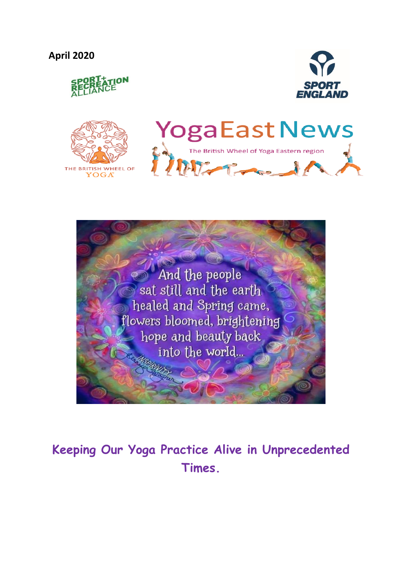# **April 2020**









**Keeping Our Yoga Practice Alive in Unprecedented Times.**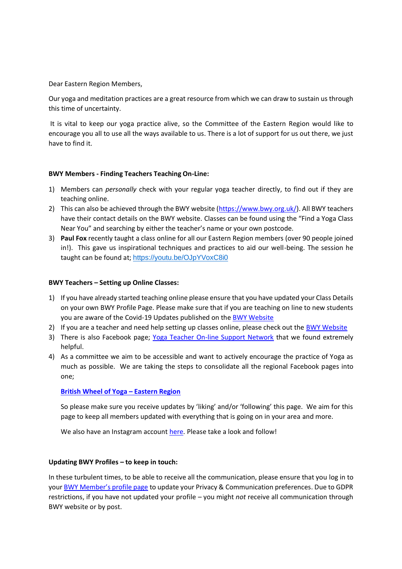Dear Eastern Region Members,

Our yoga and meditation practices are a great resource from which we can draw to sustain us through this time of uncertainty.

It is vital to keep our yoga practice alive, so the Committee of the Eastern Region would like to encourage you all to use all the ways available to us. There is a lot of support for us out there, we just have to find it.

## **BWY Members - Finding Teachers Teaching On-Line:**

- 1) Members can *personally* check with your regular yoga teacher directly, to find out if they are teaching online.
- 2) This can also be achieved through the BWY website [\(https://www.bwy.org.uk/\)](https://www.bwy.org.uk/). All BWY teachers have their contact details on the BWY website. Classes can be found using the "Find a Yoga Class Near You" and searching by either the teacher's name or your own postcode.
- 3) **Paul Fox** recently taught a class online for all our Eastern Region members (over 90 people joined in!). This gave us inspirational techniques and practices to aid our well-being. The session he taught can be found at; [https://youtu.be/OJpYVoxC8i0](https://eur05.safelinks.protection.outlook.com/?url=https%3A%2F%2Fyoutu.be%2FOJpYVoxC8i0&data=02%7C01%7C%7Cbeb9139353c3433bcdfb08d7dbc464a3%7C84df9e7fe9f640afb435aaaaaaaaaaaa%7C1%7C0%7C637219508848620204&sdata=ElMeL7TcBFQwPatuwpEW8iugZY0LzhTNwtUxc7%2FifF8%3D&reserved=0)

### **BWY Teachers – Setting up Online Classes:**

- 1) If you have already started teaching online please ensure that you have updated your Class Details on your own BWY Profile Page. Please make sure that if you are teaching on line to new students you are aware of the Covid-19 Updates published on the [BWY Website](https://www.bwy.org.uk/covid-19/)
- 2) If you are a teacher and need help setting up classes online, please check out the **BWY Website**
- 3) There is also Facebook page; Yoga [Teacher On-line Support Network](https://www.facebook.com/groups/1066032637096958/) that we found extremely helpful.
- 4) As a committee we aim to be accessible and want to actively encourage the practice of Yoga as much as possible. We are taking the steps to consolidate all the regional Facebook pages into one;

#### **British [Wheel of Yoga](https://www.facebook.com/bwyyogaeast/) – Eastern Region**

So please make sure you receive updates by 'liking' and/or 'following' this page. We aim for this page to keep all members updated with everything that is going on in your area and more.

We also have an Instagram account [here.](https://instagram.com/bwyeasternregion?igshid=nqwuofgq59br) Please take a look and follow!

#### **Updating BWY Profiles – to keep in touch:**

In these turbulent times, to be able to receive all the communication, please ensure that you log in to your [BWY Member's profile page](https://www.bwy.org.uk/members/) to update your Privacy & Communication preferences. Due to GDPR restrictions, if you have not updated your profile – you might *not* receive all communication through BWY website or by post.